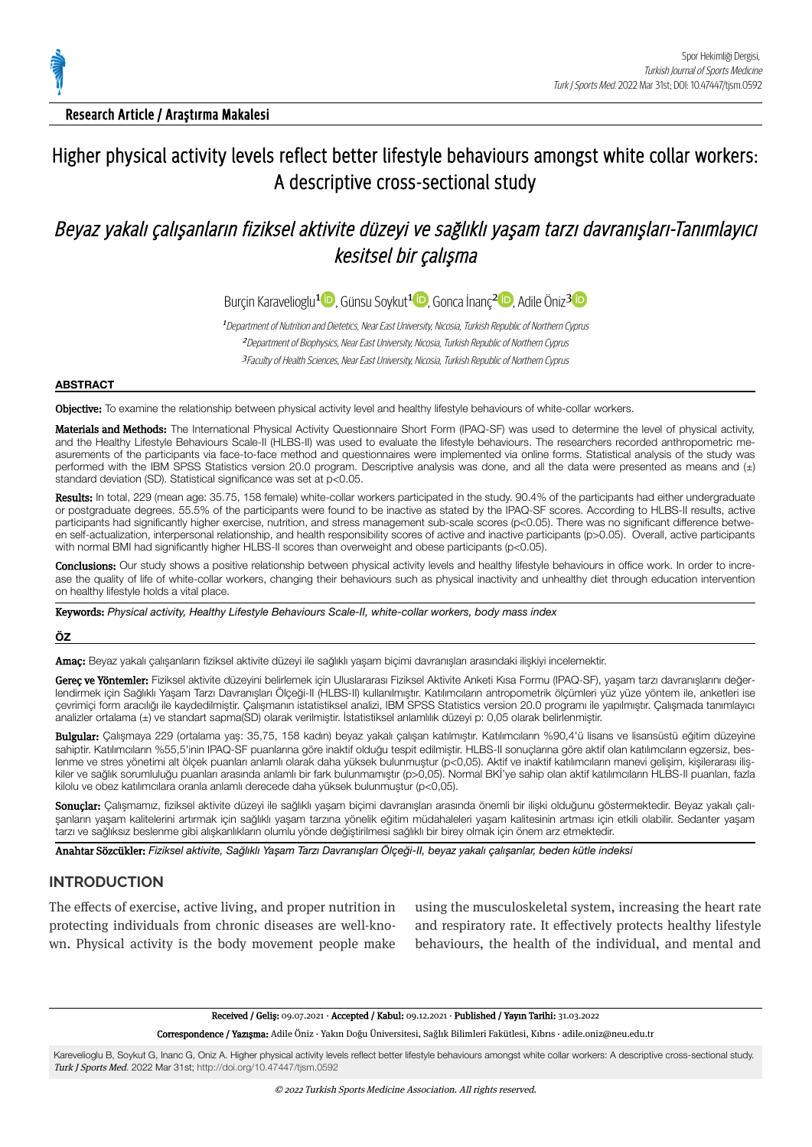

Research Article / Araştırma Makalesi

# Higher physical activity levels reflect better lifestyle behaviours amongst white collar workers: A descriptive cross-sectional study

# Beyaz yakalı çalışanların fiziksel aktivite düzeyi ve sağlıklı yaşam tarzı davranışları-Tanımlayıcı kesitsel bir calışma

Burçin Karavelioglu<sup>[1](https://orcid.org/0000-0002-6572-0602) (D</sup>)[,](https://orcid.org/0000-0002-8479-1457) Günsu Soykut<sup>1 (D</sup>), Gonca İnanç<sup>[2](https://orcid.org/0000-0003-2317-7653) (D</sup>), Adile Öniz<sup>31</sup>

<sup>1</sup> Department of Nutrition and Dietetics, Near East University, Nicosia, Turkish Republic of Northern Cyprus <sup>2</sup>Department of Biophysics, Near East University, Nicosia, Turkish Republic of Northern Cyprus <sup>3</sup>Faculty of Health Sciences, Near East University, Nicosia, Turkish Republic of Northern Cyprus

#### **ABSTRACT**

Objective: To examine the relationship between physical activity level and healthy lifestyle behaviours of white-collar workers.

Materials and Methods: The International Physical Activity Questionnaire Short Form (IPAQ-SF) was used to determine the level of physical activity, and the Healthy Lifestyle Behaviours Scale-II (HLBS-II) was used to evaluate the lifestyle behaviours. The researchers recorded anthropometric measurements of the participants via face-to-face method and questionnaires were implemented via online forms. Statistical analysis of the study was performed with the IBM SPSS Statistics version 20.0 program. Descriptive analysis was done, and all the data were presented as means and (±) standard deviation (SD). Statistical significance was set at p<0.05.

Results: In total, 229 (mean age: 35.75, 158 female) white-collar workers participated in the study. 90.4% of the participants had either undergraduate or postgraduate degrees. 55.5% of the participants were found to be inactive as stated by the IPAQ-SF scores. According to HLBS-II results, active participants had significantly higher exercise, nutrition, and stress management sub-scale scores (p<0.05). There was no significant difference between self-actualization, interpersonal relationship, and health responsibility scores of active and inactive participants (p>0.05). Overall, active participants with normal BMI had significantly higher HLBS-II scores than overweight and obese participants (p<0.05).

Conclusions: Our study shows a positive relationship between physical activity levels and healthy lifestyle behaviours in office work. In order to increase the quality of life of white-collar workers, changing their behaviours such as physical inactivity and unhealthy diet through education intervention on healthy lifestyle holds a vital place.

Keywords: *Physical activity, Healthy Lifestyle Behaviours Scale-II, white-collar workers, body mass index*

### **ÖZ**

Amaç: Beyaz yakalı çalışanların fiziksel aktivite düzeyi ile sağlıklı yaşam biçimi davranışları arasındaki ilişkiyi incelemektir.

Gerec ve Yöntemler: Fiziksel aktivite düzeyini belirlemek için Uluslararası Fiziksel Aktivite Anketi Kısa Formu (IPAQ-SF), yaşam tarzı davranışlarını değerlendirmek için Sağlıklı Yaşam Tarzı Davranışları Ölçeği-II (HLBS-II) kullanılmıştır. Katılımcıların antropometrik ölçümleri yüz yüze yöntem ile, anketleri ise çevrimiçi form aracılığı ile kaydedilmiştir. Çalışmanın istatistiksel analizi, IBM SPSS Statistics version 20.0 programı ile yapılmıştır. Çalışmada tanımlayıcı analizler ortalama (±) ve standart sapma(SD) olarak verilmiştir. İstatistiksel anlamlılık düzeyi p: 0,05 olarak belirlenmiştir.

Bulgular: Çalışmaya 229 (ortalama yaş: 35,75, 158 kadın) beyaz yakalı çalışan katılmıştır. Katılımcıların %90,4'ü lisans ve lisansüstü eğitim düzeyine sahiptir. Katılımcıların %55,5'inin IPAQ-SF puanlarına göre inaktif olduğu tespit edilmiştir. HLBS-II sonuçlarına göre aktif olan katılımcıların egzersiz, beslenme ve stres yönetimi alt ölçek puanları anlamlı olarak daha yüksek bulunmuştur (p<0,05). Aktif ve inaktif katılımcıların manevi gelişim, kişilerarası ilişkiler ve sağlık sorumluluğu puanları arasında anlamlı bir fark bulunmamıştır (p>0,05). Normal BKİ'ye sahip olan aktif katılımcıların HLBS-II puanları, fazla kilolu ve obez katılımcılara oranla anlamlı derecede daha yüksek bulunmuştur (p<0,05).

Sonuçlar: Çalışmamız, fiziksel aktivite düzeyi ile sağlıklı yaşam biçimi davranışları arasında önemli bir ilişki olduğunu göstermektedir. Beyaz yakalı çalışanların yaşam kalitelerini artırmak için sağlıklı yaşam tarzına yönelik eğitim müdahaleleri yaşam kalitesinin artması için etkili olabilir. Sedanter yaşam tarzı ve sağlıksız beslenme gibi alışkanlıkların olumlu yönde değiştirilmesi sağlıklı bir birey olmak için önem arz etmektedir.

Anahtar Sözcükler: *Fiziksel aktivite, Sağlıklı Yaşam Tarzı Davranışları Ölçeği-II, beyaz yakalı çalışanlar, beden kütle indeksi*

## **INTRODUCTION**

The effects of exercise, active living, and proper nutrition in protecting individuals from chronic diseases are well-known. Physical activity is the body movement people make using the musculoskeletal system, increasing the heart rate and respiratory rate. It effectively protects healthy lifestyle behaviours, the health of the individual, and mental and

Received / Geliş: 09.07.2021 · Accepted / Kabul: 09.12.2021 · Published / Yayın Tarihi: 31.03.2022

Correspondence / Yazışma: Adile Öniz · Yakın Doğu Üniversitesi, Sağlık Bilimleri Fakütlesi, Kıbrıs · adile.oniz@neu.edu.tr

Karevelioglu B, Soykut G, Inanc G, Oniz A. Higher physical activity levels reflect better lifestyle behaviours amongst white collar workers: A descriptive cross-sectional study. Turk J Sports Med. 2022 Mar 31st; <http://doi.org/10.47447/tjsm.0592>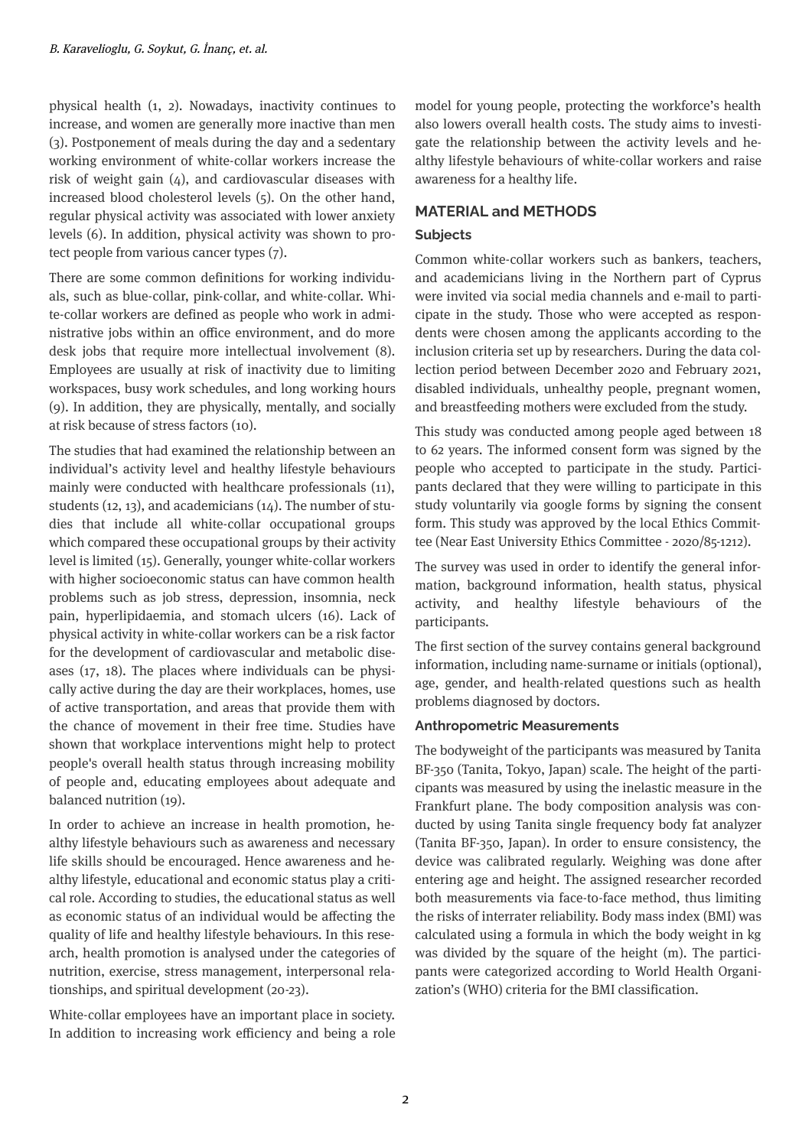physical health  $(1, 2)$ . Nowadays, inactivity continues to increase, and women are generally more inactive than men (3). Postponement of meals durng the day and a sedentary working environment of white-collar workers increase the risk of weight gain  $(4)$ , and cardiovascular diseases with ncreased blood cholesterol levels (5). On the other hand, regular physical activity was associated with lower anxiety levels (6). In addition, physical activity was shown to protect people from various cancer types  $(7)$ .

There are some common definitions for working individuals, such as blue-collar, pink-collar, and white-collar. White-collar workers are defined as people who work in administrative jobs within an office environment, and do more desk jobs that require more intellectual involvement (8). Employees are usually at risk of inactivity due to limiting workspaces, busy work schedules, and long working hours  $(9)$ . In addition, they are physically, mentally, and socially at risk because of stress factors (10).

The studies that had examined the relationship between an individual's activity level and healthy lifestyle behaviours mainly were conducted with healthcare professionals (11), students (12, 13), and academicians (14). The number of studies that include all white-collar occupational groups which compared these occupational groups by their activity level is limited (15). Generally, younger white-collar workers with higher socioeconomic status can have common health problems such as job stress, depression, insomnia, neck pain, hyperlipidaemia, and stomach ulcers (16). Lack of physical activity in white-collar workers can be a risk factor for the development of cardiovascular and metabolic diseases  $(17, 18)$ . The places where individuals can be physically active during the day are their workplaces, homes, use of active transportation, and areas that provide them with the chance of movement in their free time. Studies have shown that workplace interventions might help to protect people's overall health status through increasing mobility of people and, educating employees about adequate and balanced nutrition (19).

In order to achieve an increase in health promotion, healthy lifestyle behaviours such as awareness and necessary life skills should be encouraged. Hence awareness and healthy lifestyle, educational and economic status play a critical role. According to studies, the educational status as well as economic status of an individual would be affecting the quality of life and healthy lifestyle behaviours. In this research, health promotion is analysed under the categories of nutrition, exercise, stress management, interpersonal relationships, and spiritual development (20-23).

White-collar employees have an important place in society. In addition to increasing work efficiency and being a role model for young people, protecting the workforce's health also lowers overall health costs. The study aims to investigate the relationship between the activity levels and healthy lifestyle behaviours of white-collar workers and raise awareness for a healthy life.

## **MATERIAL and METHODS**

### **Subjects**

Common whte-collar workers such as bankers, teachers, and academicians living in the Northern part of Cyprus were invited via social media channels and e-mail to participate in the study. Those who were accepted as respondents were chosen among the applicants according to the inclusion criteria set up by researchers. During the data collection period between December 2020 and February 2021, disabled individuals, unhealthy people, pregnant women, and breastfeeding mothers were excluded from the study.

This study was conducted among people aged between 18 to 62 years. The informed consent form was signed by the people who accepted to participate in the study. Participants declared that they were willing to participate in this study voluntarily via google forms by signing the consent form. This study was approved by the local Ethics Committee (Near East University Ethics Committee - 2020/85-1212).

The survey was used in order to identify the general information, background information, health status, physical activity, and healthy lifestyle behaviours of the participants.

The first section of the survey contains general background information, including name-surname or initials (optional), age, gender, and health-related questions such as health problems diagnosed by doctors.

## **Anthropometric Measurements**

The bodyweight of the participants was measured by Tanita BF-350 (Tanita, Tokyo, Japan) scale. The height of the participants was measured by using the inelastic measure in the Frankfurt plane. The body composition analysis was conducted by using Tanita single frequency body fat analyzer (Tanta BF-350, Japan). In order to ensure consstency, the device was calibrated regularly. Weighing was done after entering age and height. The assigned researcher recorded both measurements via face-to-face method, thus limiting the risks of interrater reliability. Body mass index (BMI) was calculated using a formula in which the body weight in kg was divided by the square of the height (m). The participants were categorized according to World Health Organization's (WHO) criteria for the BMI classification.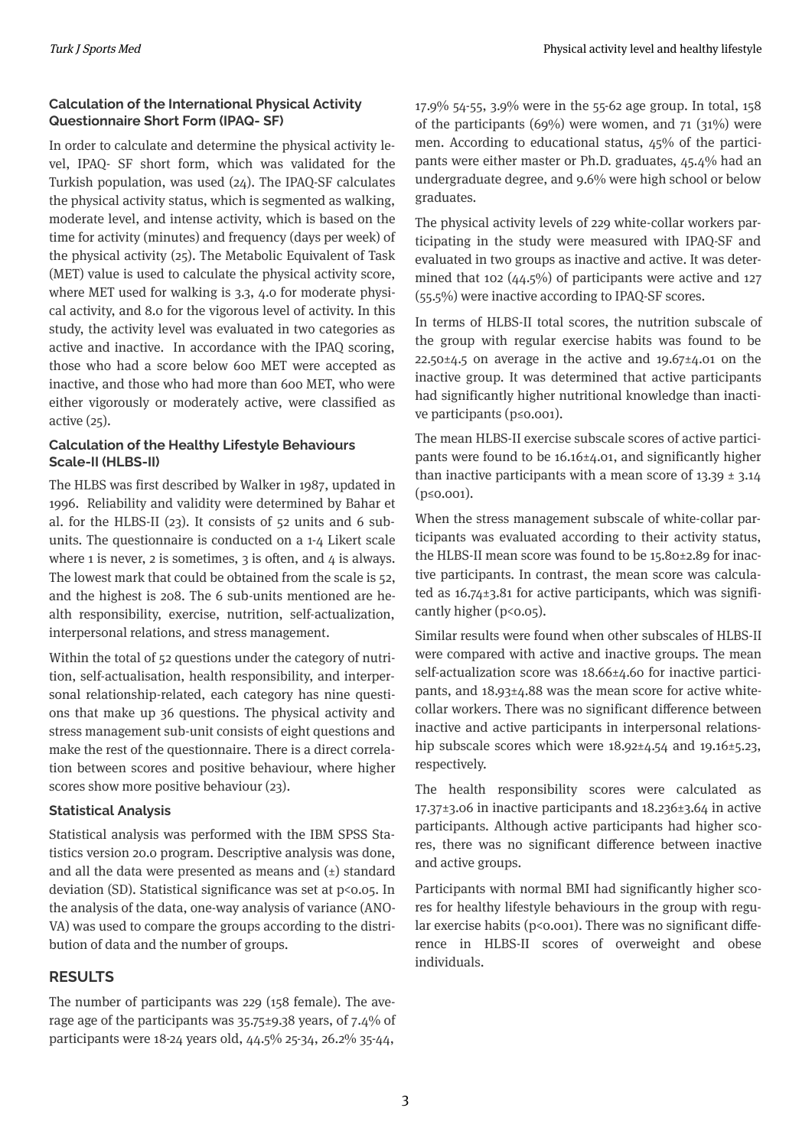## **Calculation of the International Physical Activity Questionnaire Short Form (IPAQ- SF)**

In order to calculate and determine the physical activity level, IPAQ- SF short form, which was validated for the Turkish population, was used  $(24)$ . The IPAQ-SF calculates the physical activity status, which is segmented as walking, moderate level, and intense activity, which is based on the time for activity (minutes) and frequency (days per week) of the physical activity  $(25)$ . The Metabolic Equivalent of Task (MET) value is used to calculate the physical activity score, where MET used for walking is  $3.3$ ,  $4.0$  for moderate physical activity, and 8.0 for the vigorous level of activity. In this study, the activity level was evaluated in two categories as active and inactive. In accordance with the IPAQ scoring, those who had a score below 600 MET were accepted as inactive, and those who had more than 600 MET, who were either vigorously or moderately active, were classified as  $active(25)$ .

# **Calculation of the Healthy Lifestyle Behaviours Scale-II (HLBS-II)**

The HLBS was first described by Walker in 1987, updated in 1996. Reliability and validity were determined by Bahar et al. for the HLBS-II (23). It consists of 52 units and 6 subunits. The questionnaire is conducted on a 1-4 Likert scale where 1 is never, 2 is sometimes,  $3$  is often, and  $4$  is always. The lowest mark that could be obtained from the scale is 52, and the highest is 208. The 6 sub-units mentioned are health responsibility, exercise, nutrition, self-actualization, interpersonal relations, and stress management.

Within the total of 52 questions under the category of nutrition, self-actualisation, health responsibility, and interpersonal relationship-related, each category has nine questions that make up 36 questions. The physical activity and stress management sub-unit consists of eight questions and make the rest of the questionnaire. There is a direct correlation between scores and positive behaviour, where higher scores show more positive behaviour (23).

## **Statistical Analysis**

Statistical analysis was performed with the IBM SPSS Statistics version 20.0 program. Descriptive analysis was done, and all the data were presented as means and  $(\pm)$  standard deviation (SD). Statistical significance was set at  $p$ <0.05. In the analysis of the data, one-way analysis of variance (ANO-VA) was used to compare the groups according to the distribution of data and the number of groups.

## **RESULTS**

The number of participants was 229 (158 female). The average age of the participants was  $35.75\pm9.38$  years, of 7.4% of participants were 18-24 years old,  $44.5\%$  25-34, 26.2% 35-44,

17.9% 54-55, 3.9% were in the 55-62 age group. In total, 158 of the participants (69%) were women, and  $71$  (31%) were men. According to educational status,  $45%$  of the participants were ether master or Ph.D. graduates, 45.4% had an undergraduate degree, and 9.6% were high school or below graduates.

The physical activity levels of 229 white-collar workers participating in the study were measured with IPAQ-SF and evaluated in two groups as inactive and active. It was determined that 102  $(44.5\%)$  of participants were active and 127  $(55.5\%)$  were inactive according to IPAQ-SF scores.

In terms of HLBS-II total scores, the nutrition subscale of the group with regular exercise habits was found to be  $22.50\pm4.5$  on average in the active and  $19.67\pm4.01$  on the inactive group. It was determined that active participants had significantly higher nutritional knowledge than inactive participants ( $p \le 0.001$ ).

The mean HLBS-II exercise subscale scores of active participants were found to be  $16.16 \pm 4.01$ , and significantly higher than inactive participants with a mean score of  $13.39 \pm 3.14$ (p≤0.001).

When the stress management subscale of whte-collar participants was evaluated according to their activity status, the HLBS-II mean score was found to be  $15.80 \pm 2.89$  for inactive participants. In contrast, the mean score was calculated as  $16.74 \pm 3.81$  for active participants, which was significantly higher ( $p$ < $0.05$ ).

Similar results were found when other subscales of HLBS-II were compared with active and inactive groups. The mean self-actualization score was  $18.66 \pm 4.60$  for inactive participants, and  $18.93 \pm 4.88$  was the mean score for active whitecollar workers. There was no significant difference between inactive and active participants in interpersonal relationship subscale scores which were  $18.92 \pm 4.54$  and  $19.16 \pm 5.23$ , respectively.

The health responsibility scores were calculated as  $17.37\pm3.06$  in inactive participants and  $18.236\pm3.64$  in active participants. Although active participants had higher scores, there was no significant difference between inactive and active groups.

Participants with normal BMI had significantly higher scores for healthy lifestyle behaviours in the group with regular exercise habits ( $p$ < $0.001$ ). There was no significant difference in HLBS-II scores of overweight and obese individuals.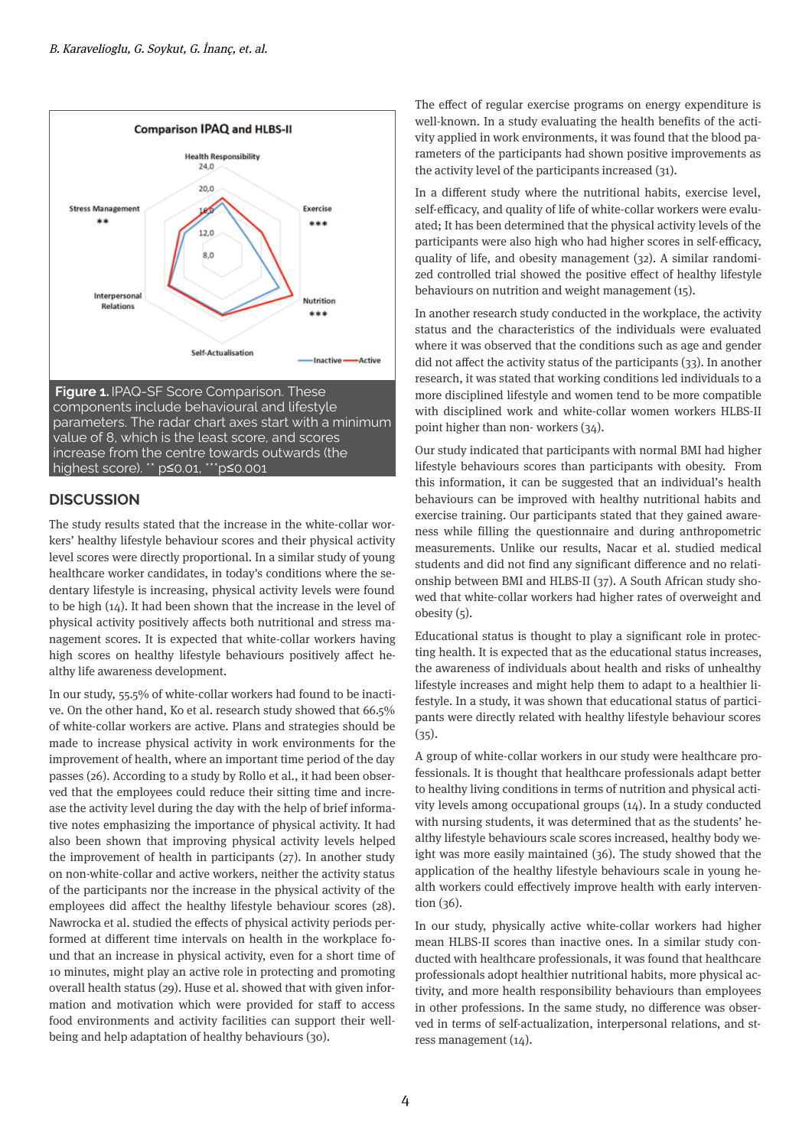



## **DISCUSSION**

The study results stated that the increase in the white-collar workers' healthy lifestyle behaviour scores and their physical activity level scores were directly proportional. In a similar study of young healthcare worker candidates, in today's conditions where the sedentary lifestyle is increasing, physical activity levels were found to be high  $(14)$ . It had been shown that the increase in the level of physical activity positively affects both nutritional and stress management scores. It is expected that white-collar workers having high scores on healthy lifestyle behaviours positively affect healthy life awareness development.

In our study, 55.5% of white-collar workers had found to be inactive. On the other hand, Ko et al. research study showed that 66.5% of white-collar workers are active. Plans and strategies should be made to increase physical activity in work environments for the improvement of health, where an important time period of the day passes (26). According to a study by Rollo et al., it had been observed that the employees could reduce their sitting time and increase the activity level during the day with the help of brief informative notes emphasizing the importance of physical activity. It had also been shown that improving physical activity levels helped the improvement of health in participants  $(27)$ . In another study on non-white-collar and active workers, neither the activity status of the participants nor the increase in the physical activity of the employees did affect the healthy lifestyle behaviour scores (28). Nawrocka et al. studied the effects of physical activity periods performed at different time intervals on health in the workplace found that an increase in physical activity, even for a short time of 10 minutes, might play an active role in protecting and promoting overall health status (29). Huse et al. showed that with given information and motivation which were provided for staff to access food environments and activity facilities can support their wellbeing and help adaptation of healthy behaviours (30).

The effect of regular exercise programs on energy expenditure is well-known. In a study evaluating the health benefits of the activity applied in work environments, it was found that the blood parameters of the participants had shown positive improvements as the activity level of the participants increased  $(31)$ .

In a different study where the nutritional habits, exercise level, self-efficacy, and quality of life of white-collar workers were evaluated; It has been determined that the physical activity levels of the participants were also high who had higher scores in self-efficacy, quality of life, and obesity management (32). A similar randomized controlled trial showed the positive effect of healthy lifestyle behaviours on nutrition and weight management  $(15)$ .

In another research study conducted in the workplace, the activity status and the characteristics of the individuals were evaluated where it was observed that the conditions such as age and gender did not affect the activity status of the participants  $(33)$ . In another research, it was stated that working conditions led individuals to a more disciplined lifestyle and women tend to be more compatible with disciplined work and white-collar women workers HLBS-II point higher than non-workers  $(34)$ .

Our study indicated that participants with normal BMI had higher lifestyle behaviours scores than participants with obesity. From this information, it can be suggested that an individual's health behaviours can be improved with healthy nutritional habits and exercise training. Our participants stated that they gained awareness while filling the questionnaire and during anthropometric measurements. Unlike our results, Nacar et al. studied medical students and did not find any significant difference and no relationship between BMI and HLBS-II (37). A South African study showed that white-collar workers had higher rates of overweight and obesity  $(5)$ .

Educational status is thought to play a significant role in protecting health. It is expected that as the educational status increases, the awareness of individuals about health and risks of unhealthy lifestyle increases and might help them to adapt to a healthier lifestyle. In a study, it was shown that educational status of participants were directly related with healthy lifestyle behaviour scores  $(35).$ 

A group of white-collar workers in our study were healthcare professionals. It is thought that healthcare professionals adapt better to healthy living conditions in terms of nutrition and physical activity levels among occupational groups  $(14)$ . In a study conducted with nursing students, it was determined that as the students' healthy lifestyle behaviours scale scores increased, healthy body weight was more easily maintained (36). The study showed that the application of the healthy lifestyle behaviours scale in young health workers could effectively improve health with early intervention  $(36)$ .

In our study, physically active white-collar workers had higher mean HLBS-II scores than inactive ones. In a similar study conducted with healthcare professionals, it was found that healthcare professionals adopt healthier nutritional habits, more physical activity, and more health responsibility behaviours than employees in other professions. In the same study, no difference was observed in terms of self-actualization, interpersonal relations, and stress management (14).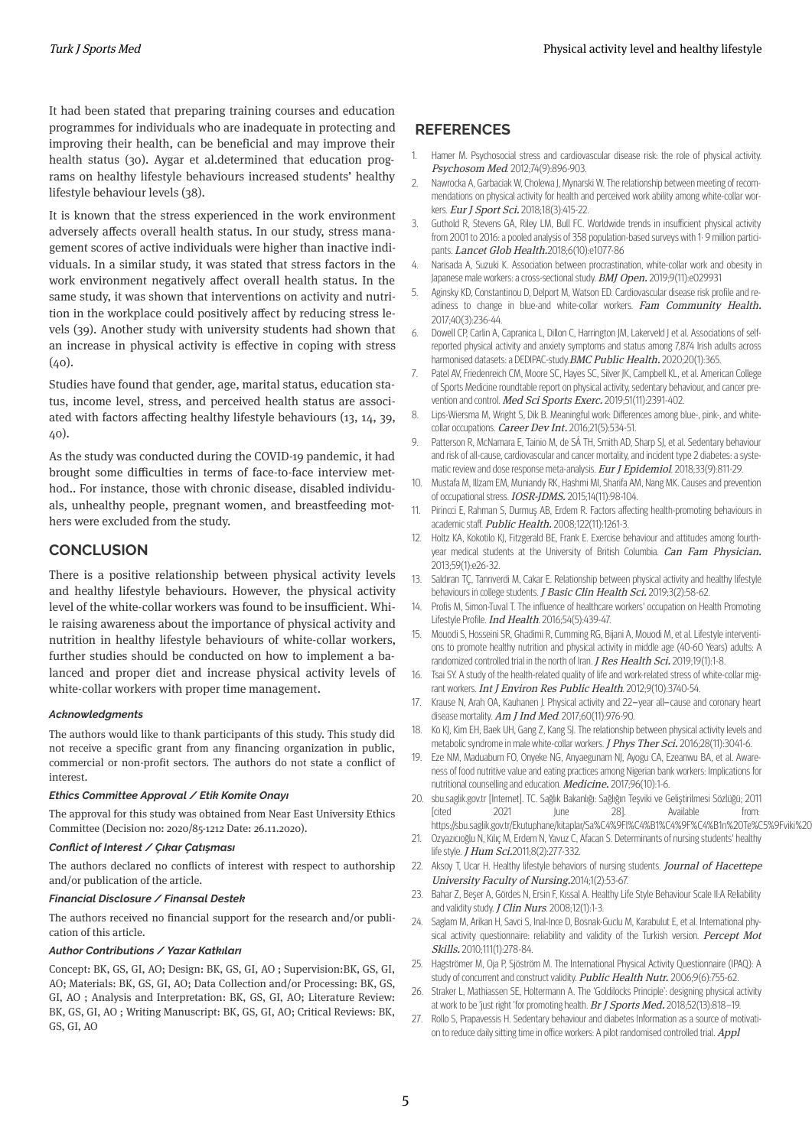It had been stated that preparing training courses and education programmes for individuals who are inadequate in protecting and improving their health, can be beneficial and may improve their health status (30). Aygar et al.determined that education programs on healthy lifestyle behaviours increased students' healthy lifestyle behaviour levels (38).

It is known that the stress experienced in the work environment adversely affects overall health status. In our study, stress management scores of active individuals were higher than inactive individuals. In a similar study, it was stated that stress factors in the work environment negatively affect overall health status. In the same study, it was shown that interventions on activity and nutrition in the workplace could positively affect by reducing stress levels (39). Another study with university students had shown that an increase in physical activity is effective in coping with stress  $(40)$ .

Studies have found that gender, age, marital status, education status, income level, stress, and perceived health status are associated with factors affecting healthy lifestyle behaviours (13, 14, 39, 40).

As the study was conducted during the COVID-19 pandemic, it had brought some difficulties in terms of face-to-face interview method.. For instance, those with chronic disease, disabled individuals, unhealthy people, pregnant women, and breastfeedng mothers were excluded from the study.

## **CONCLUSION**

There is a positive relationship between physical activity levels and healthy lifestyle behaviours. However, the physical activity level of the white-collar workers was found to be insufficient. While raising awareness about the importance of physical activity and nutrition in healthy lifestyle behaviours of white-collar workers, further studies should be conducted on how to implement a balanced and proper diet and increase physical activity levels of white-collar workers with proper time management.

#### *Acknowledgments*

The authors would like to thank participants of this study. This study did not receive a specific grant from any financing organization in public, commercial or non-profit sectors. The authors do not state a conflict of nterest.

#### *Ethics Committee Approval / Etik Komite Onayı*

The approval for this study was obtained from Near East University Ethics Committee (Decision no: 2020/85-1212 Date: 26.11.2020).

#### *Conct of Interest / Çıkar Çatışması*

The authors declared no conflicts of interest with respect to authorship and/or publication of the article.

#### *Fnancal Dsclosure / Fnansal Destek*

The authors received no financial support for the research and/or publication of this article.

#### *Author Contrbutons / Yazar Katkıları*

Concept: BK, GS, GI, AO; Design: BK, GS, GI, AO; Supervision: BK, GS, GI, AO; Materials: BK, GS, GI, AO; Data Collection and/or Processing: BK, GS, GI, AO ; Analysis and Interpretation: BK, GS, GI, AO; Literature Review: BK, GS, GI, AO; Writing Manuscript: BK, GS, GI, AO; Critical Reviews: BK, GS, GI, AO

## **REFERENCES**

- Hamer M. Psychosocial stress and cardiovascular disease risk: the role of physical activity. Psychosom Med. 2012;74(9):896-903. 1.
- Nawrocka A, Garbaciak W, Cholewa J, Mynarski W. The relationship between meeting of recommendations on physical activity for health and perceived work ability among white-collar workers. Eur J Sport Sci. 2018;18(3):415-22.  $\mathcal{L}$
- Guthold R, Stevens GA, Riley LM, Bull FC. Worldwide trends in insufficient physical activity from 2001 to 2016: a pooled analysis of 358 population-based surveys with 1 $\cdot$  9 million participants. Lancet Glob Health.2018;6(10):e1077-86 3.
- Narisada A, Suzuki K, Association between procrastination, white-collar work and obesity in Japanese male workers: a cross-sectional study. BMJ Open. 2019;9(11):e029931 4.
- Aginsky KD, Constantinou D, Delport M, Watson ED. Cardiovascular disease risk profile and readiness to change in blue-and white-collar workers. Fam Community Health. 2017;40(3):236-44. 5.
- Dowell CP, Carlin A, Capranica L, Dillon C, Harrington JM, Lakerveld J et al. Associations of selfreported physical activity and anxiety symptoms and status among 7,874 Irish adults across harmonised datasets: a DEDIPAC-study. BMC Public Health. 2020;20(1):365. 6.
- Patel AV, Friedenreich CM, Moore SC, Hayes SC, Silver JK, Campbell KL, et al. American College of Sports Medicine roundtable report on physical activity, sedentary behaviour, and cancer prevention and control. Med Sci Sports Exerc. 2019;51(11):2391-402. 7.
- Lips-Wiersma M, Wright S, Dik B. Meaningful work: Differences among blue-, pink-, and whitecollar occupations. Career Dev Int. 2016;21(5):534-51. 8.
- Patterson R, McNamara E, Tainio M, de SÁ TH, Smith AD, Sharp SJ, et al. Sedentary behaviour and risk of all-cause, cardiovascular and cancer mortality, and incident type 2 diabetes: a systematic review and dose response meta-analysis. Eur J Epidemiol. 2018;33(9):811-29. 9.
- Mustafa M, Illzam EM, Muniandy RK, Hashmi MI, Sharifa AM, Nang MK. Causes and prevention of occupational stress. IOSR-JDMS. 2015;14(11):98-104. 10.
- Pirincci E, Rahman S, Durmuş AB, Erdem R. Factors affecting health-promoting behaviours in academic staff. Public Health. 2008;122(11):1261-3. 11.
- 12. Holtz KA, Kokotilo KJ, Fitzgerald BE, Frank E. Exercise behaviour and attitudes among fourthyear medical students at the University of British Columbia. Can Fam Physician. 2013;59(1):e26-32.
- Saldıran TÇ, Tanrıverdi M, Cakar E. Relationship between physical activity and healthy lifestyle behaviours in college students. J Basic Clin Health Sci. 2019;3(2):58-62. 13.
- Profis M, Simon-Tuval T. The influence of healthcare workers' occupation on Health Promoting Lifestyle Profile. Ind Health. 2016;54(5):439-47. 14.
- Mouodi S, Hosseini SR, Ghadimi R, Cumming RG, Bijani A, Mouodi M, et al. Lifestyle interventions to promote healthy nutrition and physical activity in middle age (40-60 Years) adults: A randomized controlled trial in the north of Iran. J Res Health Sci. 2019;19(1):1-8. 15.
- Tsai SY. A study of the health-related quality of life and work-related stress of white-collar migrant workers. Int J Environ Res Public Health. 2012;9(10):3740-54. 16.
- Krause N, Arah OA, Kauhanen J. Physical activity and 22-year all-cause and coronary heart disease mortality.  $Am$  J Ind Med. 2017;60(11):976-90. 17.
- Ko KJ, Kim EH, Baek UH, Gang Z, Kang SJ. The relationship between physical activity levels and metabolic syndrome in male white-collar workers. J Phys Ther Sci. 2016;28(11):3041-6. 18.
- Eze NM, Maduabum FO, Onyeke NG, Anyaegunam NJ, Ayogu CA, Ezeanwu BA, et al. Awareness of food nutritive value and eating practices among Nigerian bank workers: Implications for nutritional counselling and education. Medicine. 2017;96(10):1-6. 19.
- 20. sbu.saglik.gov.tr [Internet]. TC. Sağlık Bakanlığı: Sağlığın Teşviki ve Geliştirilmesi Sözlüğü; 2011 [cited 2021 June 28]. Available from: https://sbu.saglik.gov.tr/Ekutuphane/kitaplar/Sa%C4%9Fl%C4%B1%C4%9F%C4%B1n%20Te%C5%9Fviki%20
- Ozyazıcıoğlu N, Kılıç M, Erdem N, Yavuz C, Afacan S. Determinants of nursing students' healthy life style. *J Hum Sci*.2011;8(2):277-332. 21.
- 22. Aksoy T, Ucar H. Healthy lifestyle behaviors of nursing students. Journal of Hacettepe University Faculty of Nursing.2014;1(2):53-67.
- 23. Bahar Z, Beşer A, Gördes N, Ersin F, Kıssal A. Healthy Life Style Behaviour Scale II:A Reliability and validity study.  $J$  Clin Nurs. 2008;12(1):1-3.
- 24. Saglam M, Arikan H, Savci S, Inal-Ince D, Bosnak-Guclu M, Karabulut E, et al. International physical activity questionnaire: reliability and validity of the Turkish version. Percept Mot Skills. 2010;111(1):278-84.
- Hagströmer M, Oja P, Sjöström M. The International Physical Activity Questionnaire (IPAQ): A study of concurrent and construct validity. Public Health Nutr. 2006;9(6):755-62 25.
- Straker L, Mathiassen SE, Holtermann A. The 'Goldilocks Principle': designing physical activity at work to be 'just right 'for promoting health. Br J Sports Med. 2018;52(13):818-19. 26.
- 27. Rollo S, Prapavessis H. Sedentary behaviour and diabetes Information as a source of motivation to reduce daily sitting time in office workers: A pilot randomised controlled trial. Appl